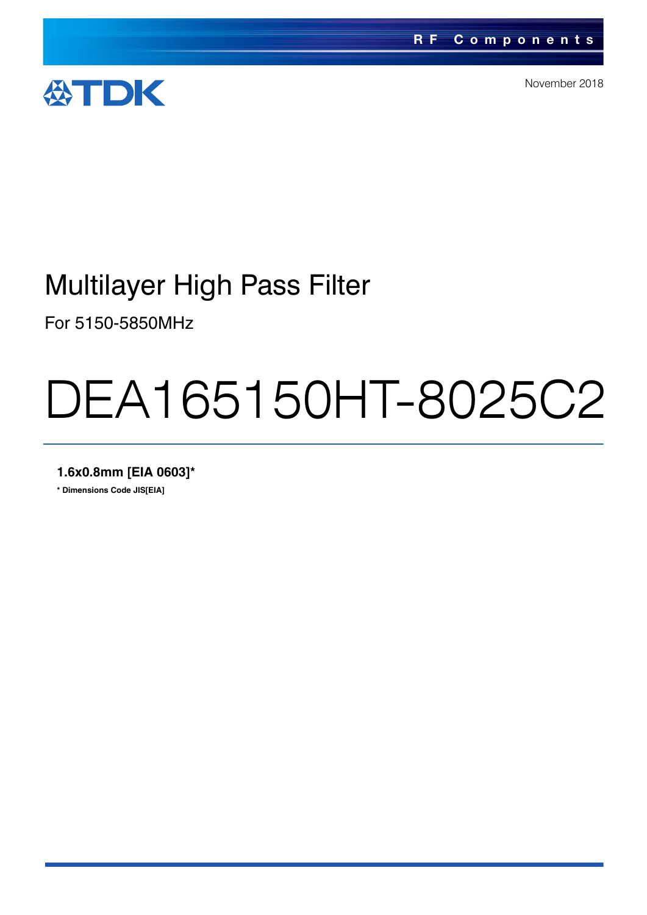

November 2018

### Multilayer High Pass Filter

For 5150-5850MHz

# DEA165150HT-8025C2

**1.6x0.8mm [EIA 0603]\***

**\* Dimensions Code JIS[EIA]**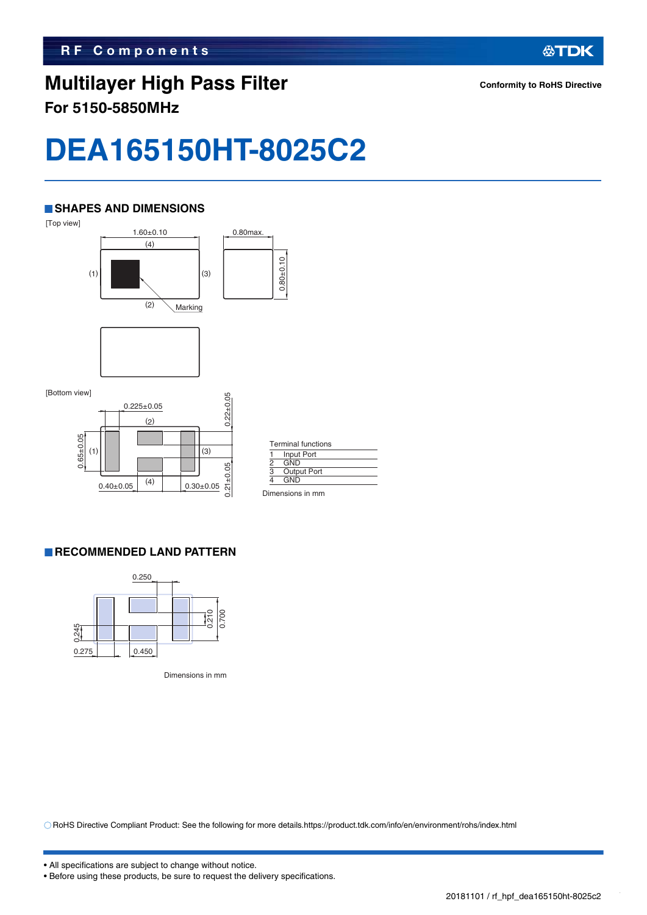### **Multilayer High Pass Filter For 5150-5850MHz**

**公TDK** 

## **DEA165150HT-8025C2**

#### **SHAPES AND DIMENSIONS**



#### **RECOMMENDED LAND PATTERN**



Dimensions in mm

RoHS Directive Compliant Product: See the following for more details.https://product.tdk.com/info/en/environment/rohs/index.html

<sup>•</sup> Before using these products, be sure to request the delivery specifications.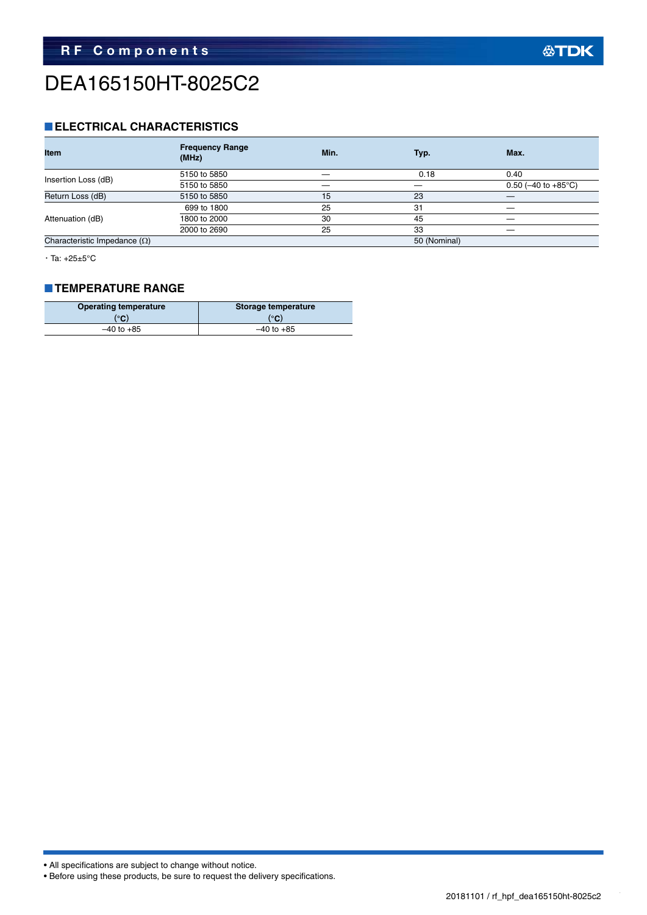### DEA165150HT-8025C2

#### **ELECTRICAL CHARACTERISTICS**

| <b>Item</b>                         | <b>Frequency Range</b><br>(MHz) | Min. | Typ.         | Max.                             |  |
|-------------------------------------|---------------------------------|------|--------------|----------------------------------|--|
|                                     | 5150 to 5850                    |      | 0.18         | 0.40                             |  |
| Insertion Loss (dB)                 | 5150 to 5850                    |      |              | 0.50 ( $-40$ to $+85^{\circ}$ C) |  |
| Return Loss (dB)                    | 5150 to 5850                    | 15   | 23           |                                  |  |
|                                     | 699 to 1800                     | 25   | 31           |                                  |  |
| Attenuation (dB)                    | 1800 to 2000                    | 30   | 45           |                                  |  |
|                                     | 2000 to 2690                    | 25   | 33           | __                               |  |
| Characteristic Impedance $(\Omega)$ |                                 |      | 50 (Nominal) |                                  |  |

 $\cdot$  Ta:  $+25\pm5^{\circ}$ C

#### **TEMPERATURE RANGE**

| <b>Operating temperature</b> | Storage temperature |  |  |
|------------------------------|---------------------|--|--|
| (°C)                         | (°C)                |  |  |
| $-40$ to $+85$               | $-40$ to $+85$      |  |  |

• All specifications are subject to change without notice.

• Before using these products, be sure to request the delivery specifications.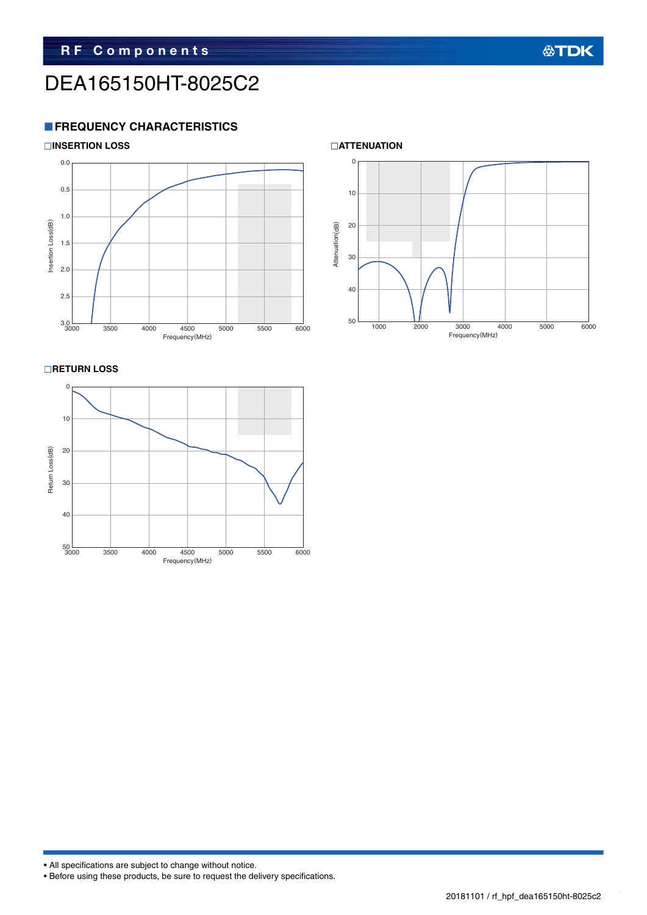### DEA165150HT-8025C2

#### **FREQUENCY CHARACTERISTICS**



**RETURN LOSS** 





#### **公TDK**

• All specifications are subject to change without notice.

• Before using these products, be sure to request the delivery specifications.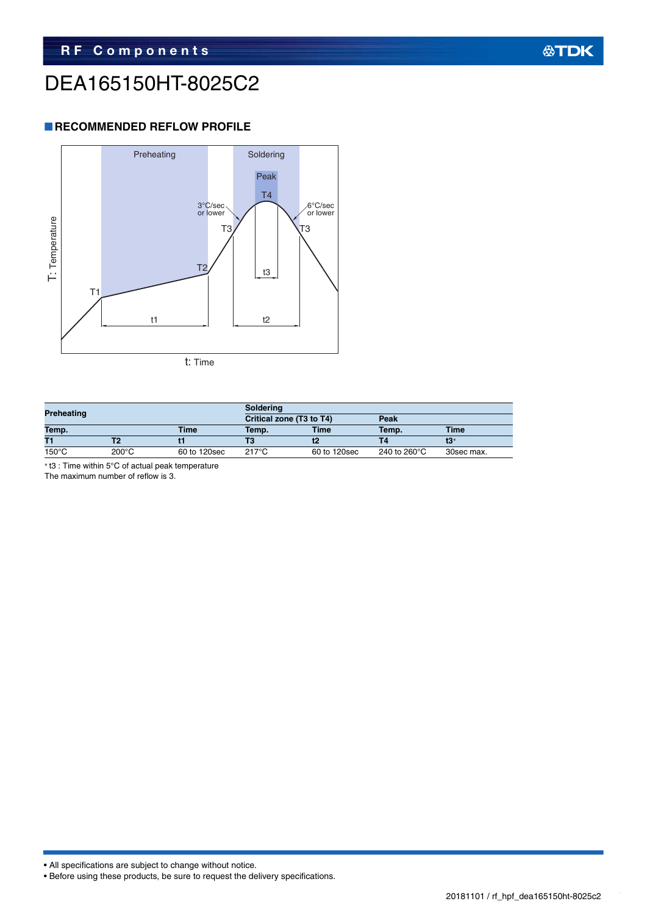### DEA165150HT-8025C2

#### **RECOMMENDED REFLOW PROFILE**



| <b>Preheating</b> |                 |              | <b>Soldering</b>         |              |              |             |  |
|-------------------|-----------------|--------------|--------------------------|--------------|--------------|-------------|--|
|                   |                 |              | Critical zone (T3 to T4) |              | Peak         |             |  |
| Temp.             |                 | <b>Time</b>  | Temp.                    | Time         | Temp.        | <b>Time</b> |  |
| T1                |                 |              |                          |              |              |             |  |
| $150^{\circ}$ C   | $200^{\circ}$ C | 60 to 120sec | $217^\circ C$            | 60 to 120sec | 240 to 260°C | 30sec max.  |  |

t3 : Time within 5°C of actual peak temperature

The maximum number of reflow is 3.

• All specifications are subject to change without notice.

```
• Before using these products, be sure to request the delivery specifications.
```